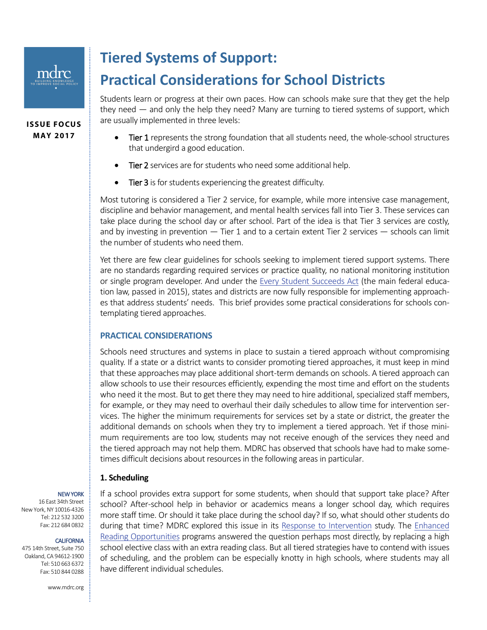**ISSUE FOCUS MAY 2017**

## **Tiered Systems of Support:**

# **Practical Considerations for School Districts**

Students learn or progress at their own paces. How can schools make sure that they get the help they need — and only the help they need? Many are turning to tiered systems of support, which are usually implemented in three levels:

- Tier 1 represents the strong foundation that all students need, the whole-school structures that undergird a good education.
- Tier 2 services are for students who need some additional help.
- Tier 3 is for students experiencing the greatest difficulty.

Most tutoring is considered a Tier 2 service, for example, while more intensive case management, discipline and behavior management, and mental health services fall into Tier 3. These services can take place during the school day or after school. Part of the idea is that Tier 3 services are costly, and by investing in prevention — Tier 1 and to a certain extent Tier 2 services — schools can limit the number of students who need them.

Yet there are few clear guidelines for schools seeking to implement tiered support systems. There are no standards regarding required services or practice quality, no national monitoring institution or single program developer. And under the [Every Student Succeeds Act](https://www.ed.gov/essa) (the main federal education law, passed in 2015), states and districts are now fully responsible for implementing approaches that address students' needs. This brief provides some practical considerations for schools contemplating tiered approaches.

#### **PRACTICAL CONSIDERATIONS**

Schools need structures and systems in place to sustain a tiered approach without compromising quality. If a state or a district wants to consider promoting tiered approaches, it must keep in mind that these approaches may place additional short-term demands on schools. A tiered approach can allow schools to use their resources efficiently, expending the most time and effort on the students who need it the most. But to get there they may need to hire additional, specialized staff members, for example, or they may need to overhaul their daily schedules to allow time for intervention services. The higher the minimum requirements for services set by a state or district, the greater the additional demands on schools when they try to implement a tiered approach. Yet if those minimum requirements are too low, students may not receive enough of the services they need and the tiered approach may not help them. MDRC has observed that schools have had to make sometimes difficult decisions about resources in the following areas in particular.

#### **1. Scheduling**

NEW YORK 16 East 34th Street New York, NY 10016-4326 Tel: 212 532 3200 Fax: 212 684 0832

#### CALIFORNIA

475 14th Street, Suite 750 Oakland, CA 94612-1900 Tel: 510 663 6372 Fax: 510 844 0288

www.mdrc.org

If a school provides extra support for some students, when should that support take place? After school? After-school help in behavior or academics means a longer school day, which requires more staff time. Or should it take place during the school day? If so, what should other students do during that time? MDRC explored this issue in its [Response to Intervention](http://www.mdrc.org/project/response-intervention-rti-programs-struggling-elementary-readers) study. The [Enhanced](http://www.mdrc.org/project/enhanced-reading-opportunities-study)  [Reading Opportunities](http://www.mdrc.org/project/enhanced-reading-opportunities-study) programs answered the question perhaps most directly, by replacing a high school elective class with an extra reading class. But all tiered strategies have to contend with issues of scheduling, and the problem can be especially knotty in high schools, where students may all have different individual schedules.